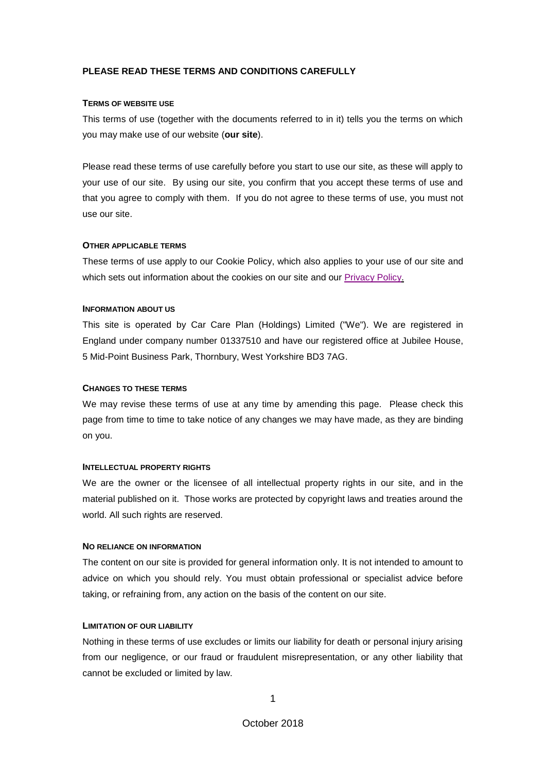# **PLEASE READ THESE TERMS AND CONDITIONS CAREFULLY**

### **TERMS OF WEBSITE USE**

This terms of use (together with the documents referred to in it) tells you the terms on which you may make use of our website (**our site**).

Please read these terms of use carefully before you start to use our site, as these will apply to your use of our site. By using our site, you confirm that you accept these terms of use and that you agree to comply with them. If you do not agree to these terms of use, you must not use our site.

## **OTHER APPLICABLE TERMS**

These terms of use apply to our Cookie Policy, which also applies to your use of our site and which sets out information about the cookies on our site and our [Privacy Policy.](http://www.view-privacy-policy.co.uk/)

## **INFORMATION ABOUT US**

This site is operated by Car Care Plan (Holdings) Limited ("We"). We are registered in England under company number 01337510 and have our registered office at Jubilee House, 5 Mid-Point Business Park, Thornbury, West Yorkshire BD3 7AG.

### **CHANGES TO THESE TERMS**

We may revise these terms of use at any time by amending this page. Please check this page from time to time to take notice of any changes we may have made, as they are binding on you.

### **INTELLECTUAL PROPERTY RIGHTS**

We are the owner or the licensee of all intellectual property rights in our site, and in the material published on it. Those works are protected by copyright laws and treaties around the world. All such rights are reserved.

## **NO RELIANCE ON INFORMATION**

The content on our site is provided for general information only. It is not intended to amount to advice on which you should rely. You must obtain professional or specialist advice before taking, or refraining from, any action on the basis of the content on our site.

## **LIMITATION OF OUR LIABILITY**

Nothing in these terms of use excludes or limits our liability for death or personal injury arising from our negligence, or our fraud or fraudulent misrepresentation, or any other liability that cannot be excluded or limited by law.

1